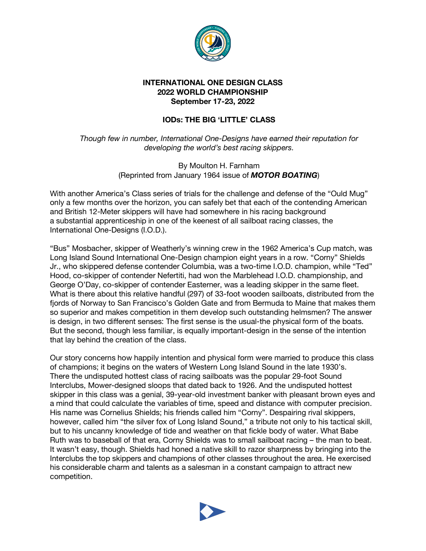

## **INTERNATIONAL ONE DESIGN CLASS 2022 WORLD CHAMPIONSHIP September 17-23, 2022**

## **IODs: THE BIG 'LITTLE' CLASS**

*Though few in number, International One-Designs have earned their reputation for developing the world's best racing skippers.*

> By Moulton H. Farnham (Reprinted from January 1964 issue of *MOTOR BOATING*)

With another America's Class series of trials for the challenge and defense of the "Ould Mug" only a few months over the horizon, you can safely bet that each of the contending American and British 12-Meter skippers will have had somewhere in his racing background a substantial apprenticeship in one of the keenest of all sailboat racing classes, the International One-Designs (I.O.D.).

"Bus" Mosbacher, skipper of Weatherly's winning crew in the 1962 America's Cup match, was Long Island Sound International One-Design champion eight years in a row. "Corny" Shields Jr., who skippered defense contender Columbia, was a two-time I.O.D. champion, while "Ted" Hood, co-skipper of contender Nefertiti, had won the Marblehead I.O.D. championship, and George O'Day, co-skipper of contender Easterner, was a leading skipper in the same fleet. What is there about this relative handful (297) of 33-foot wooden sailboats, distributed from the fjords of Norway to San Francisco's Golden Gate and from Bermuda to Maine that makes them so superior and makes competition in them develop such outstanding helmsmen? The answer is design, in two different senses: The first sense is the usual-the physical form of the boats. But the second, though less familiar, is equally important-design in the sense of the intention that lay behind the creation of the class.

Our story concerns how happily intention and physical form were married to produce this class of champions; it begins on the waters of Western Long Island Sound in the late 1930's. There the undisputed hottest class of racing sailboats was the popular 29-foot Sound Interclubs, Mower-designed sloops that dated back to 1926. And the undisputed hottest skipper in this class was a genial, 39-year-old investment banker with pleasant brown eyes and a mind that could calculate the variables of time, speed and distance with computer precision. His name was Cornelius Shields; his friends called him "Corny". Despairing rival skippers, however, called him "the silver fox of Long Island Sound," a tribute not only to his tactical skill, but to his uncanny knowledge of tide and weather on that fickle body of water. What Babe Ruth was to baseball of that era, Corny Shields was to small sailboat racing – the man to beat. It wasn't easy, though. Shields had honed a native skill to razor sharpness by bringing into the Interclubs the top skippers and champions of other classes throughout the area. He exercised his considerable charm and talents as a salesman in a constant campaign to attract new competition.

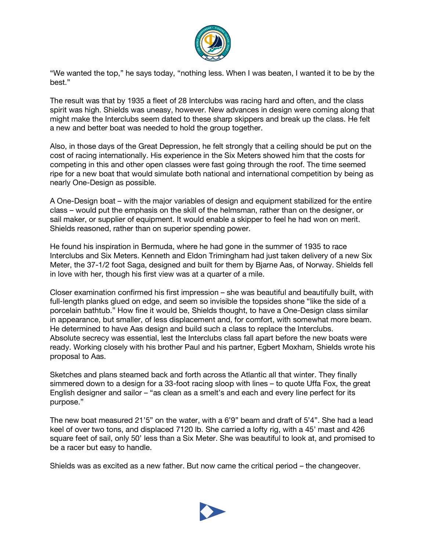

"We wanted the top," he says today, "nothing less. When I was beaten, I wanted it to be by the best."

The result was that by 1935 a fleet of 28 Interclubs was racing hard and often, and the class spirit was high. Shields was uneasy, however. New advances in design were coming along that might make the Interclubs seem dated to these sharp skippers and break up the class. He felt a new and better boat was needed to hold the group together.

Also, in those days of the Great Depression, he felt strongly that a ceiling should be put on the cost of racing internationally. His experience in the Six Meters showed him that the costs for competing in this and other open classes were fast going through the roof. The time seemed ripe for a new boat that would simulate both national and international competition by being as nearly One-Design as possible.

A One-Design boat – with the major variables of design and equipment stabilized for the entire class – would put the emphasis on the skill of the helmsman, rather than on the designer, or sail maker, or supplier of equipment. It would enable a skipper to feel he had won on merit. Shields reasoned, rather than on superior spending power.

He found his inspiration in Bermuda, where he had gone in the summer of 1935 to race Interclubs and Six Meters. Kenneth and Eldon Trimingham had just taken delivery of a new Six Meter, the 37-1/2 foot Saga, designed and built for them by Bjarne Aas, of Norway. Shields fell in love with her, though his first view was at a quarter of a mile.

Closer examination confirmed his first impression – she was beautiful and beautifully built, with full-length planks glued on edge, and seem so invisible the topsides shone "like the side of a porcelain bathtub." How fine it would be, Shields thought, to have a One-Design class similar in appearance, but smaller, of less displacement and, for comfort, with somewhat more beam. He determined to have Aas design and build such a class to replace the Interclubs. Absolute secrecy was essential, lest the Interclubs class fall apart before the new boats were ready. Working closely with his brother Paul and his partner, Egbert Moxham, Shields wrote his proposal to Aas.

Sketches and plans steamed back and forth across the Atlantic all that winter. They finally simmered down to a design for a 33-foot racing sloop with lines – to quote Uffa Fox, the great English designer and sailor – "as clean as a smelt's and each and every line perfect for its purpose."

The new boat measured 21'5" on the water, with a 6'9" beam and draft of 5'4". She had a lead keel of over two tons, and displaced 7120 lb. She carried a lofty rig, with a 45' mast and 426 square feet of sail, only 50' less than a Six Meter. She was beautiful to look at, and promised to be a racer but easy to handle.

Shields was as excited as a new father. But now came the critical period – the changeover.

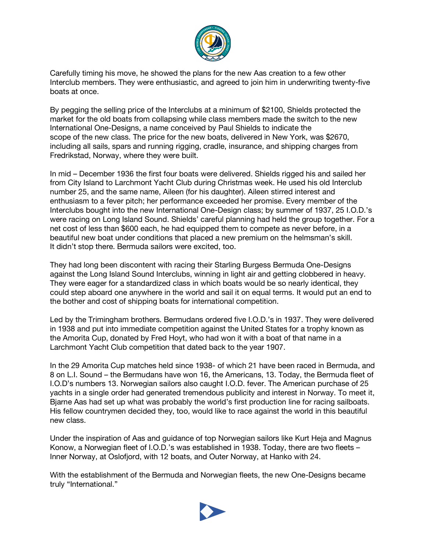

Carefully timing his move, he showed the plans for the new Aas creation to a few other Interclub members. They were enthusiastic, and agreed to join him in underwriting twenty-five boats at once.

By pegging the selling price of the Interclubs at a minimum of \$2100, Shields protected the market for the old boats from collapsing while class members made the switch to the new International One-Designs, a name conceived by Paul Shields to indicate the scope of the new class. The price for the new boats, delivered in New York, was \$2670, including all sails, spars and running rigging, cradle, insurance, and shipping charges from Fredrikstad, Norway, where they were built.

In mid – December 1936 the first four boats were delivered. Shields rigged his and sailed her from City Island to Larchmont Yacht Club during Christmas week. He used his old Interclub number 25, and the same name, Aileen (for his daughter). Aileen stirred interest and enthusiasm to a fever pitch; her performance exceeded her promise. Every member of the Interclubs bought into the new International One-Design class; by summer of 1937, 25 I.O.D.'s were racing on Long Island Sound. Shields' careful planning had held the group together. For a net cost of less than \$600 each, he had equipped them to compete as never before, in a beautiful new boat under conditions that placed a new premium on the helmsman's skill. It didn't stop there. Bermuda sailors were excited, too.

They had long been discontent with racing their Starling Burgess Bermuda One-Designs against the Long Island Sound Interclubs, winning in light air and getting clobbered in heavy. They were eager for a standardized class in which boats would be so nearly identical, they could step aboard one anywhere in the world and sail it on equal terms. It would put an end to the bother and cost of shipping boats for international competition.

Led by the Trimingham brothers. Bermudans ordered five I.O.D.'s in 1937. They were delivered in 1938 and put into immediate competition against the United States for a trophy known as the Amorita Cup, donated by Fred Hoyt, who had won it with a boat of that name in a Larchmont Yacht Club competition that dated back to the year 1907.

In the 29 Amorita Cup matches held since 1938- of which 21 have been raced in Bermuda, and 8 on L.I. Sound – the Bermudans have won 16, the Americans, 13. Today, the Bermuda fleet of I.O.D's numbers 13. Norwegian sailors also caught I.O.D. fever. The American purchase of 25 yachts in a single order had generated tremendous publicity and interest in Norway. To meet it, Bjarne Aas had set up what was probably the world's first production line for racing sailboats. His fellow countrymen decided they, too, would like to race against the world in this beautiful new class.

Under the inspiration of Aas and guidance of top Norwegian sailors like Kurt Heja and Magnus Konow, a Norwegian fleet of I.O.D.'s was established in 1938. Today, there are two fleets – Inner Norway, at Oslofjord, with 12 boats, and Outer Norway, at Hanko with 24.

With the establishment of the Bermuda and Norwegian fleets, the new One-Designs became truly "International."

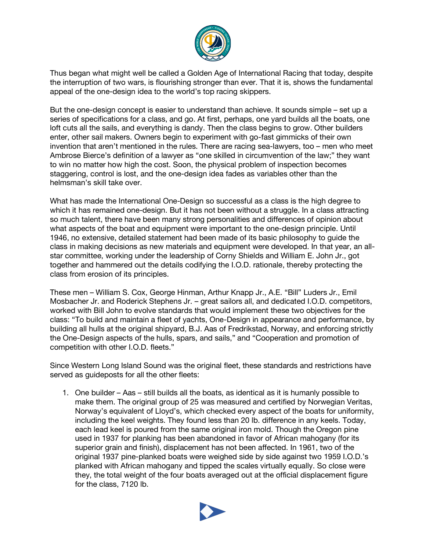

Thus began what might well be called a Golden Age of International Racing that today, despite the interruption of two wars, is flourishing stronger than ever. That it is, shows the fundamental appeal of the one-design idea to the world's top racing skippers.

But the one-design concept is easier to understand than achieve. It sounds simple – set up a series of specifications for a class, and go. At first, perhaps, one yard builds all the boats, one loft cuts all the sails, and everything is dandy. Then the class begins to grow. Other builders enter, other sail makers. Owners begin to experiment with go-fast gimmicks of their own invention that aren't mentioned in the rules. There are racing sea-lawyers, too – men who meet Ambrose Bierce's definition of a lawyer as "one skilled in circumvention of the law;" they want to win no matter how high the cost. Soon, the physical problem of inspection becomes staggering, control is lost, and the one-design idea fades as variables other than the helmsman's skill take over.

What has made the International One-Design so successful as a class is the high degree to which it has remained one-design. But it has not been without a struggle. In a class attracting so much talent, there have been many strong personalities and differences of opinion about what aspects of the boat and equipment were important to the one-design principle. Until 1946, no extensive, detailed statement had been made of its basic philosophy to guide the class in making decisions as new materials and equipment were developed. In that year, an allstar committee, working under the leadership of Corny Shields and William E. John Jr., got together and hammered out the details codifying the I.O.D. rationale, thereby protecting the class from erosion of its principles.

These men – William S. Cox, George Hinman, Arthur Knapp Jr., A.E. "Bill" Luders Jr., Emil Mosbacher Jr. and Roderick Stephens Jr. – great sailors all, and dedicated I.O.D. competitors, worked with Bill John to evolve standards that would implement these two objectives for the class: "To build and maintain a fleet of yachts, One-Design in appearance and performance, by building all hulls at the original shipyard, B.J. Aas of Fredrikstad, Norway, and enforcing strictly the One-Design aspects of the hulls, spars, and sails," and "Cooperation and promotion of competition with other I.O.D. fleets."

Since Western Long Island Sound was the original fleet, these standards and restrictions have served as guideposts for all the other fleets:

1. One builder – Aas – still builds all the boats, as identical as it is humanly possible to make them. The original group of 25 was measured and certified by Norwegian Veritas, Norway's equivalent of Lloyd's, which checked every aspect of the boats for uniformity, including the keel weights. They found less than 20 lb. difference in any keels. Today, each lead keel is poured from the same original iron mold. Though the Oregon pine used in 1937 for planking has been abandoned in favor of African mahogany (for its superior grain and finish), displacement has not been affected. In 1961, two of the original 1937 pine-planked boats were weighed side by side against two 1959 I.O.D.'s planked with African mahogany and tipped the scales virtually equally. So close were they, the total weight of the four boats averaged out at the official displacement figure for the class, 7120 lb.

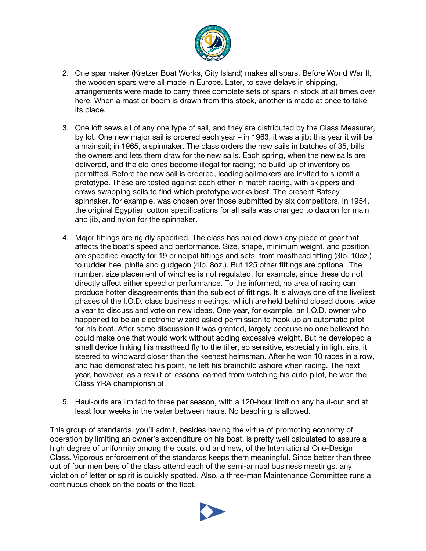

- 2. One spar maker (Kretzer Boat Works, City Island) makes all spars. Before World War II, the wooden spars were all made in Europe. Later, to save delays in shipping, arrangements were made to carry three complete sets of spars in stock at all times over here. When a mast or boom is drawn from this stock, another is made at once to take its place.
- 3. One loft sews all of any one type of sail, and they are distributed by the Class Measurer, by lot. One new major sail is ordered each year – in 1963, it was a jib; this year it will be a mainsail; in 1965, a spinnaker. The class orders the new sails in batches of 35, bills the owners and lets them draw for the new sails. Each spring, when the new sails are delivered, and the old ones become illegal for racing; no build-up of inventory os permitted. Before the new sail is ordered, leading sailmakers are invited to submit a prototype. These are tested against each other in match racing, with skippers and crews swapping sails to find which prototype works best. The present Ratsey spinnaker, for example, was chosen over those submitted by six competitors. In 1954, the original Egyptian cotton specifications for all sails was changed to dacron for main and jib, and nylon for the spinnaker.
- 4. Major fittings are rigidly specified. The class has nailed down any piece of gear that affects the boat's speed and performance. Size, shape, minimum weight, and position are specified exactly for 19 principal fittings and sets, from masthead fitting (3lb. 10oz.) to rudder heel pintle and gudgeon (4lb. 8oz.). But 125 other fittings are optional. The number, size placement of winches is not regulated, for example, since these do not directly affect either speed or performance. To the informed, no area of racing can produce hotter disagreements than the subject of fittings. It is always one of the liveliest phases of the I.O.D. class business meetings, which are held behind closed doors twice a year to discuss and vote on new ideas. One year, for example, an I.O.D. owner who happened to be an electronic wizard asked permission to hook up an automatic pilot for his boat. After some discussion it was granted, largely because no one believed he could make one that would work without adding excessive weight. But he developed a small device linking his masthead fly to the tiller, so sensitive, especially in light airs, it steered to windward closer than the keenest helmsman. After he won 10 races in a row, and had demonstrated his point, he left his brainchild ashore when racing. The next year, however, as a result of lessons learned from watching his auto-pilot, he won the Class YRA championship!
- 5. Haul-outs are limited to three per season, with a 120-hour limit on any haul-out and at least four weeks in the water between hauls. No beaching is allowed.

This group of standards, you'll admit, besides having the virtue of promoting economy of operation by limiting an owner's expenditure on his boat, is pretty well calculated to assure a high degree of uniformity among the boats, old and new, of the International One-Design Class. Vigorous enforcement of the standards keeps them meaningful. Since better than three out of four members of the class attend each of the semi-annual business meetings, any violation of letter or spirit is quickly spotted. Also, a three-man Maintenance Committee runs a continuous check on the boats of the fleet.

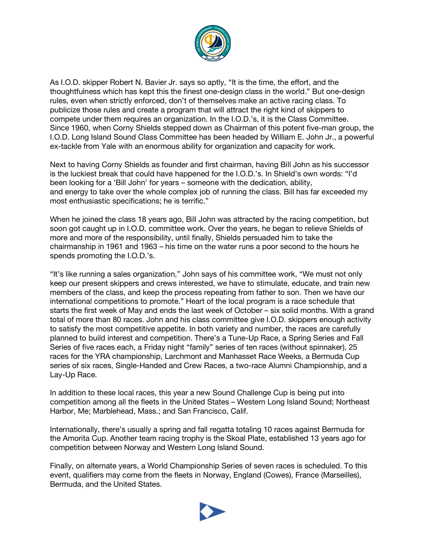

As I.O.D. skipper Robert N. Bavier Jr. says so aptly, "It is the time, the effort, and the thoughtfulness which has kept this the finest one-design class in the world." But one-design rules, even when strictly enforced, don't of themselves make an active racing class. To publicize those rules and create a program that will attract the right kind of skippers to compete under them requires an organization. In the I.O.D.'s, it is the Class Committee. Since 1960, when Corny Shields stepped down as Chairman of this potent five-man group, the I.O.D. Long Island Sound Class Committee has been headed by William E. John Jr., a powerful ex-tackle from Yale with an enormous ability for organization and capacity for work.

Next to having Corny Shields as founder and first chairman, having Bill John as his successor is the luckiest break that could have happened for the I.O.D.'s. In Shield's own words: "I'd been looking for a 'Bill John' for years – someone with the dedication, ability, and energy to take over the whole complex job of running the class. Bill has far exceeded my most enthusiastic specifications; he is terrific."

When he joined the class 18 years ago, Bill John was attracted by the racing competition, but soon got caught up in I.O.D. committee work. Over the years, he began to relieve Shields of more and more of the responsibility, until finally, Shields persuaded him to take the chairmanship in 1961 and 1963 – his time on the water runs a poor second to the hours he spends promoting the I.O.D.'s.

"It's like running a sales organization," John says of his committee work, "We must not only keep our present skippers and crews interested, we have to stimulate, educate, and train new members of the class, and keep the process repeating from father to son. Then we have our international competitions to promote." Heart of the local program is a race schedule that starts the first week of May and ends the last week of October – six solid months. With a grand total of more than 80 races. John and his class committee give I.O.D. skippers enough activity to satisfy the most competitive appetite. In both variety and number, the races are carefully planned to build interest and competition. There's a Tune-Up Race, a Spring Series and Fall Series of five races each, a Friday night "family" series of ten races (without spinnaker), 25 races for the YRA championship, Larchmont and Manhasset Race Weeks, a Bermuda Cup series of six races, Single-Handed and Crew Races, a two-race Alumni Championship, and a Lay-Up Race.

In addition to these local races, this year a new Sound Challenge Cup is being put into competition among all the fleets in the United States – Western Long Island Sound; Northeast Harbor, Me; Marblehead, Mass.; and San Francisco, Calif.

Internationally, there's usually a spring and fall regatta totaling 10 races against Bermuda for the Amorita Cup. Another team racing trophy is the Skoal Plate, established 13 years ago for competition between Norway and Western Long Island Sound.

Finally, on alternate years, a World Championship Series of seven races is scheduled. To this event, qualifiers may come from the fleets in Norway, England (Cowes), France (Marseilles), Bermuda, and the United States.

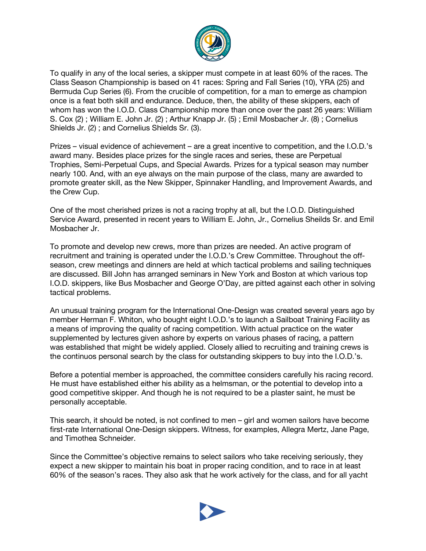

To qualify in any of the local series, a skipper must compete in at least 60% of the races. The Class Season Championship is based on 41 races: Spring and Fall Series (10), YRA (25) and Bermuda Cup Series (6). From the crucible of competition, for a man to emerge as champion once is a feat both skill and endurance. Deduce, then, the ability of these skippers, each of whom has won the I.O.D. Class Championship more than once over the past 26 years: William S. Cox (2) ; William E. John Jr. (2) ; Arthur Knapp Jr. (5) ; Emil Mosbacher Jr. (8) ; Cornelius Shields Jr. (2) ; and Cornelius Shields Sr. (3).

Prizes – visual evidence of achievement – are a great incentive to competition, and the I.O.D.'s award many. Besides place prizes for the single races and series, these are Perpetual Trophies, Semi-Perpetual Cups, and Special Awards. Prizes for a typical season may number nearly 100. And, with an eye always on the main purpose of the class, many are awarded to promote greater skill, as the New Skipper, Spinnaker Handling, and Improvement Awards, and the Crew Cup.

One of the most cherished prizes is not a racing trophy at all, but the I.O.D. Distinguished Service Award, presented in recent years to William E. John, Jr., Cornelius Sheilds Sr. and Emil Mosbacher Jr.

To promote and develop new crews, more than prizes are needed. An active program of recruitment and training is operated under the I.O.D.'s Crew Committee. Throughout the offseason, crew meetings and dinners are held at which tactical problems and sailing techniques are discussed. Bill John has arranged seminars in New York and Boston at which various top I.O.D. skippers, like Bus Mosbacher and George O'Day, are pitted against each other in solving tactical problems.

An unusual training program for the International One-Design was created several years ago by member Herman F. Whiton, who bought eight I.O.D.'s to launch a Sailboat Training Facility as a means of improving the quality of racing competition. With actual practice on the water supplemented by lectures given ashore by experts on various phases of racing, a pattern was established that might be widely applied. Closely allied to recruiting and training crews is the continuos personal search by the class for outstanding skippers to buy into the I.O.D.'s.

Before a potential member is approached, the committee considers carefully his racing record. He must have established either his ability as a helmsman, or the potential to develop into a good competitive skipper. And though he is not required to be a plaster saint, he must be personally acceptable.

This search, it should be noted, is not confined to men – girl and women sailors have become first-rate International One-Design skippers. Witness, for examples, Allegra Mertz, Jane Page, and Timothea Schneider.

Since the Committee's objective remains to select sailors who take receiving seriously, they expect a new skipper to maintain his boat in proper racing condition, and to race in at least 60% of the season's races. They also ask that he work actively for the class, and for all yacht